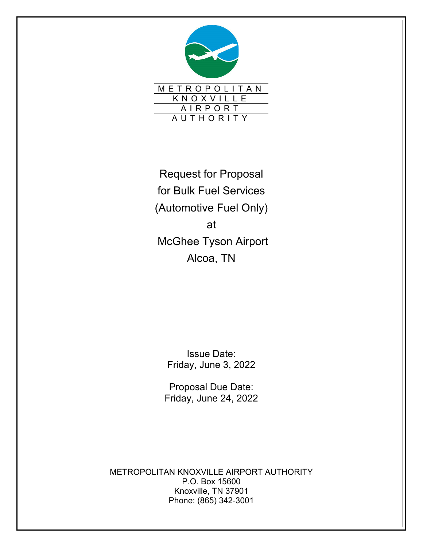

Request for Proposal for Bulk Fuel Services (Automotive Fuel Only) at McGhee Tyson Airport Alcoa, TN

> Issue Date: Friday, June 3, 2022

Proposal Due Date: Friday, June 24, 2022

METROPOLITAN KNOXVILLE AIRPORT AUTHORITY P.O. Box 15600 Knoxville, TN 37901 Phone: (865) 342-3001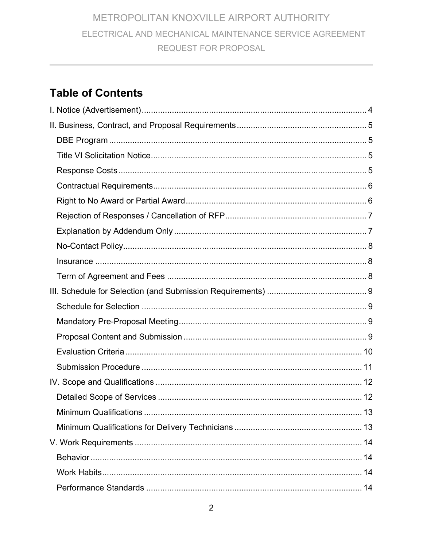# **Table of Contents**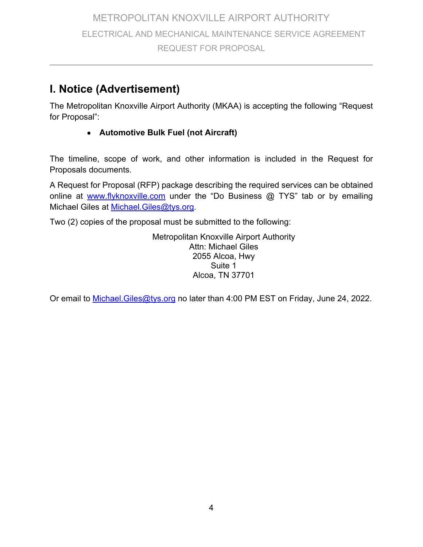# **I. Notice (Advertisement)**

The Metropolitan Knoxville Airport Authority (MKAA) is accepting the following "Request for Proposal":

#### **Automotive Bulk Fuel (not Aircraft)**

The timeline, scope of work, and other information is included in the Request for Proposals documents.

A Request for Proposal (RFP) package describing the required services can be obtained online at www.flyknoxville.com under the "Do Business  $@$  TYS" tab or by emailing Michael Giles at Michael.Giles@tys.org.

Two (2) copies of the proposal must be submitted to the following:

Metropolitan Knoxville Airport Authority Attn: Michael Giles 2055 Alcoa, Hwy Suite 1 Alcoa, TN 37701

Or email to Michael. Giles@tys.org no later than 4:00 PM EST on Friday, June 24, 2022.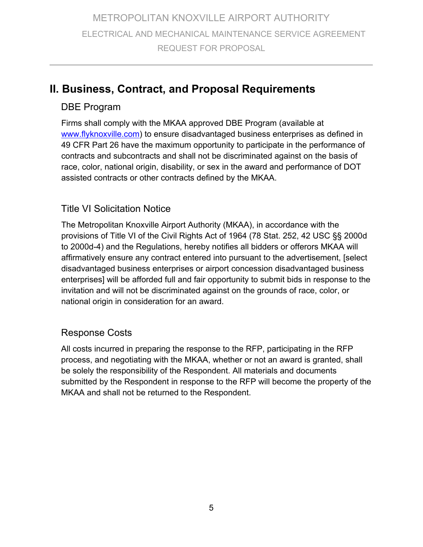# **II. Business, Contract, and Proposal Requirements**

### DBE Program

Firms shall comply with the MKAA approved DBE Program (available at www.flyknoxville.com) to ensure disadvantaged business enterprises as defined in 49 CFR Part 26 have the maximum opportunity to participate in the performance of contracts and subcontracts and shall not be discriminated against on the basis of race, color, national origin, disability, or sex in the award and performance of DOT assisted contracts or other contracts defined by the MKAA.

#### Title VI Solicitation Notice

The Metropolitan Knoxville Airport Authority (MKAA), in accordance with the provisions of Title VI of the Civil Rights Act of 1964 (78 Stat. 252, 42 USC §§ 2000d to 2000d-4) and the Regulations, hereby notifies all bidders or offerors MKAA will affirmatively ensure any contract entered into pursuant to the advertisement, [select disadvantaged business enterprises or airport concession disadvantaged business enterprises] will be afforded full and fair opportunity to submit bids in response to the invitation and will not be discriminated against on the grounds of race, color, or national origin in consideration for an award.

### Response Costs

All costs incurred in preparing the response to the RFP, participating in the RFP process, and negotiating with the MKAA, whether or not an award is granted, shall be solely the responsibility of the Respondent. All materials and documents submitted by the Respondent in response to the RFP will become the property of the MKAA and shall not be returned to the Respondent.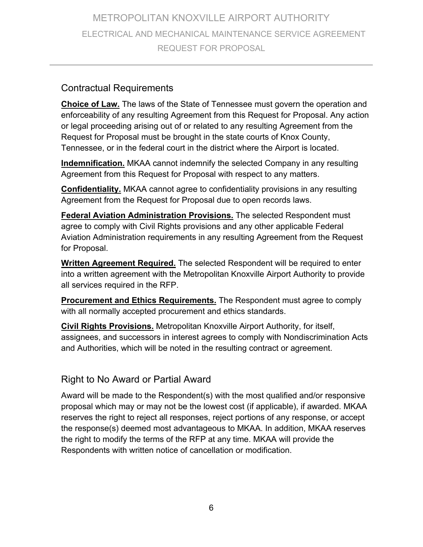#### Contractual Requirements

**Choice of Law.** The laws of the State of Tennessee must govern the operation and enforceability of any resulting Agreement from this Request for Proposal. Any action or legal proceeding arising out of or related to any resulting Agreement from the Request for Proposal must be brought in the state courts of Knox County, Tennessee, or in the federal court in the district where the Airport is located.

**Indemnification.** MKAA cannot indemnify the selected Company in any resulting Agreement from this Request for Proposal with respect to any matters.

**Confidentiality.** MKAA cannot agree to confidentiality provisions in any resulting Agreement from the Request for Proposal due to open records laws.

**Federal Aviation Administration Provisions.** The selected Respondent must agree to comply with Civil Rights provisions and any other applicable Federal Aviation Administration requirements in any resulting Agreement from the Request for Proposal.

**Written Agreement Required.** The selected Respondent will be required to enter into a written agreement with the Metropolitan Knoxville Airport Authority to provide all services required in the RFP.

**Procurement and Ethics Requirements.** The Respondent must agree to comply with all normally accepted procurement and ethics standards.

**Civil Rights Provisions.** Metropolitan Knoxville Airport Authority, for itself, assignees, and successors in interest agrees to comply with Nondiscrimination Acts and Authorities, which will be noted in the resulting contract or agreement.

### Right to No Award or Partial Award

Award will be made to the Respondent(s) with the most qualified and/or responsive proposal which may or may not be the lowest cost (if applicable), if awarded. MKAA reserves the right to reject all responses, reject portions of any response, or accept the response(s) deemed most advantageous to MKAA. In addition, MKAA reserves the right to modify the terms of the RFP at any time. MKAA will provide the Respondents with written notice of cancellation or modification.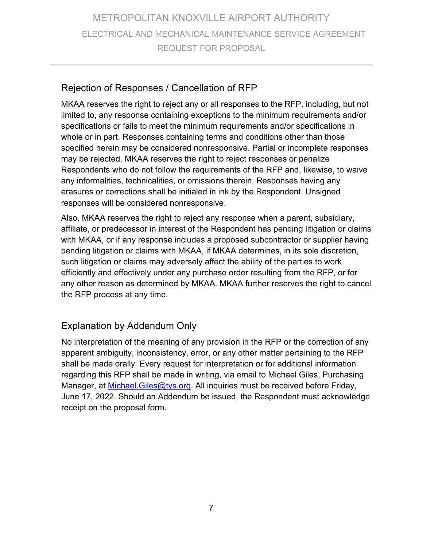### Rejection of Responses / Cancellation of RFP

MKAA reserves the right to reject any or all responses to the RFP, including, but not limited to, any response containing exceptions to the minimum requirements and/or specifications or fails to meet the minimum requirements and/or specifications in whole or in part. Responses containing terms and conditions other than those specified herein may be considered nonresponsive. Partial or incomplete responses may be rejected. MKAA reserves the right to reject responses or penalize Respondents who do not follow the requirements of the RFP and, likewise, to waive any informalities, technicalities, or omissions therein. Responses having any erasures or corrections shall be initialed in ink by the Respondent. Unsigned responses will be considered nonresponsive.

Also, MKAA reserves the right to reject any response when a parent, subsidiary, affiliate, or predecessor in interest of the Respondent has pending litigation or claims with MKAA, or if any response includes a proposed subcontractor or supplier having pending litigation or claims with MKAA, if MKAA determines, in its sole discretion, such litigation or claims may adversely affect the ability of the parties to work efficiently and effectively under any purchase order resulting from the RFP, or for any other reason as determined by MKAA. MKAA further reserves the right to cancel the RFP process at any time.

## Explanation by Addendum Only

No interpretation of the meaning of any provision in the RFP or the correction of any apparent ambiguity, inconsistency, error, or any other matter pertaining to the RFP shall be made orally. Every request for interpretation or for additional information regarding this RFP shall be made in writing, via email to Michael Giles, Purchasing Manager, at *Michael.Giles@tys.org*. All inquiries must be received before Friday, June 17, 2022. Should an Addendum be issued, the Respondent must acknowledge receipt on the proposal form.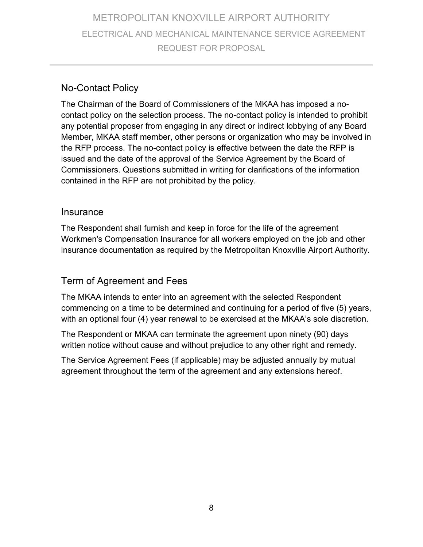### No-Contact Policy

The Chairman of the Board of Commissioners of the MKAA has imposed a nocontact policy on the selection process. The no-contact policy is intended to prohibit any potential proposer from engaging in any direct or indirect lobbying of any Board Member, MKAA staff member, other persons or organization who may be involved in the RFP process. The no-contact policy is effective between the date the RFP is issued and the date of the approval of the Service Agreement by the Board of Commissioners. Questions submitted in writing for clarifications of the information contained in the RFP are not prohibited by the policy.

#### **Insurance**

The Respondent shall furnish and keep in force for the life of the agreement Workmen's Compensation Insurance for all workers employed on the job and other insurance documentation as required by the Metropolitan Knoxville Airport Authority.

### Term of Agreement and Fees

The MKAA intends to enter into an agreement with the selected Respondent commencing on a time to be determined and continuing for a period of five (5) years, with an optional four (4) year renewal to be exercised at the MKAA's sole discretion.

The Respondent or MKAA can terminate the agreement upon ninety (90) days written notice without cause and without prejudice to any other right and remedy.

The Service Agreement Fees (if applicable) may be adjusted annually by mutual agreement throughout the term of the agreement and any extensions hereof.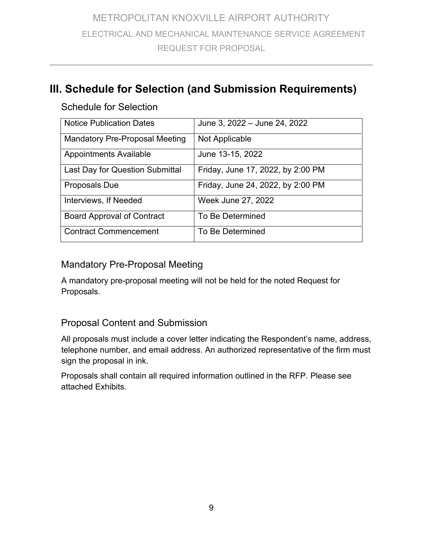# **III. Schedule for Selection (and Submission Requirements)**

### Schedule for Selection

| <b>Notice Publication Dates</b>        | June 3, 2022 - June 24, 2022      |
|----------------------------------------|-----------------------------------|
| <b>Mandatory Pre-Proposal Meeting</b>  | Not Applicable                    |
| <b>Appointments Available</b>          | June 13-15, 2022                  |
| <b>Last Day for Question Submittal</b> | Friday, June 17, 2022, by 2:00 PM |
| <b>Proposals Due</b>                   | Friday, June 24, 2022, by 2:00 PM |
| Interviews, If Needed                  | Week June 27, 2022                |
| <b>Board Approval of Contract</b>      | To Be Determined                  |
| <b>Contract Commencement</b>           | To Be Determined                  |

## Mandatory Pre-Proposal Meeting

A mandatory pre-proposal meeting will not be held for the noted Request for Proposals.

### Proposal Content and Submission

All proposals must include a cover letter indicating the Respondent's name, address, telephone number, and email address. An authorized representative of the firm must sign the proposal in ink.

Proposals shall contain all required information outlined in the RFP. Please see attached Exhibits.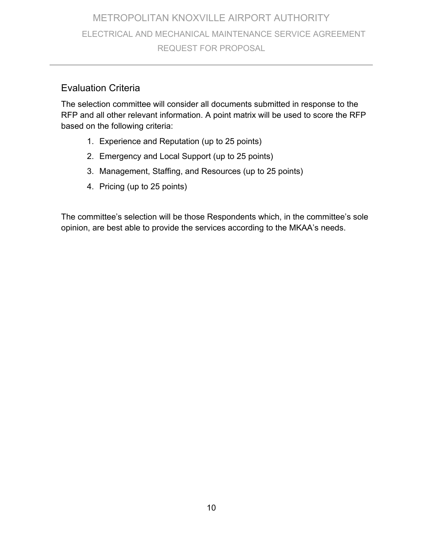### Evaluation Criteria

The selection committee will consider all documents submitted in response to the RFP and all other relevant information. A point matrix will be used to score the RFP based on the following criteria:

- 1. Experience and Reputation (up to 25 points)
- 2. Emergency and Local Support (up to 25 points)
- 3. Management, Staffing, and Resources (up to 25 points)
- 4. Pricing (up to 25 points)

The committee's selection will be those Respondents which, in the committee's sole opinion, are best able to provide the services according to the MKAA's needs.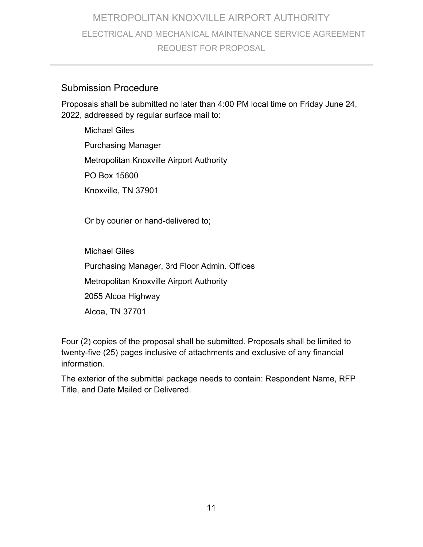#### Submission Procedure

Proposals shall be submitted no later than 4:00 PM local time on Friday June 24, 2022, addressed by regular surface mail to:

Michael Giles Purchasing Manager Metropolitan Knoxville Airport Authority PO Box 15600 Knoxville, TN 37901

Or by courier or hand-delivered to;

Michael Giles Purchasing Manager, 3rd Floor Admin. Offices Metropolitan Knoxville Airport Authority 2055 Alcoa Highway Alcoa, TN 37701

Four (2) copies of the proposal shall be submitted. Proposals shall be limited to twenty-five (25) pages inclusive of attachments and exclusive of any financial information.

The exterior of the submittal package needs to contain: Respondent Name, RFP Title, and Date Mailed or Delivered.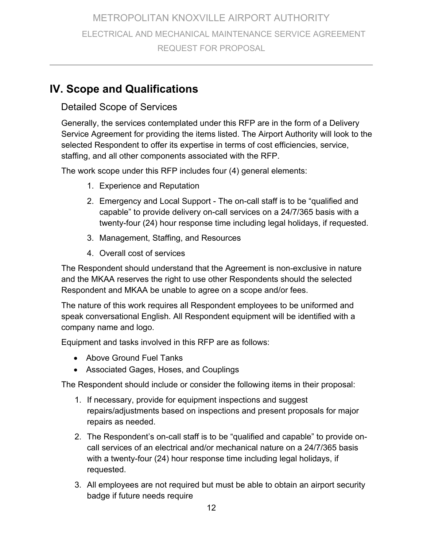# **IV. Scope and Qualifications**

### Detailed Scope of Services

Generally, the services contemplated under this RFP are in the form of a Delivery Service Agreement for providing the items listed. The Airport Authority will look to the selected Respondent to offer its expertise in terms of cost efficiencies, service, staffing, and all other components associated with the RFP.

The work scope under this RFP includes four (4) general elements:

- 1. Experience and Reputation
- 2. Emergency and Local Support The on-call staff is to be "qualified and capable" to provide delivery on-call services on a 24/7/365 basis with a twenty-four (24) hour response time including legal holidays, if requested.
- 3. Management, Staffing, and Resources
- 4. Overall cost of services

The Respondent should understand that the Agreement is non-exclusive in nature and the MKAA reserves the right to use other Respondents should the selected Respondent and MKAA be unable to agree on a scope and/or fees.

The nature of this work requires all Respondent employees to be uniformed and speak conversational English. All Respondent equipment will be identified with a company name and logo.

Equipment and tasks involved in this RFP are as follows:

- Above Ground Fuel Tanks
- Associated Gages, Hoses, and Couplings

The Respondent should include or consider the following items in their proposal:

- 1. If necessary, provide for equipment inspections and suggest repairs/adjustments based on inspections and present proposals for major repairs as needed.
- 2. The Respondent's on-call staff is to be "qualified and capable" to provide oncall services of an electrical and/or mechanical nature on a 24/7/365 basis with a twenty-four (24) hour response time including legal holidays, if requested.
- 3. All employees are not required but must be able to obtain an airport security badge if future needs require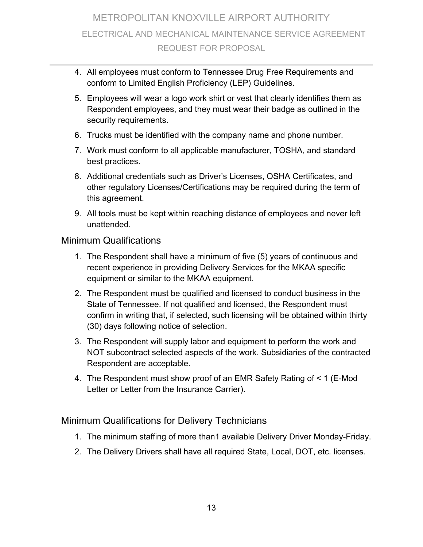- 4. All employees must conform to Tennessee Drug Free Requirements and conform to Limited English Proficiency (LEP) Guidelines.
- 5. Employees will wear a logo work shirt or vest that clearly identifies them as Respondent employees, and they must wear their badge as outlined in the security requirements.
- 6. Trucks must be identified with the company name and phone number.
- 7. Work must conform to all applicable manufacturer, TOSHA, and standard best practices.
- 8. Additional credentials such as Driver's Licenses, OSHA Certificates, and other regulatory Licenses/Certifications may be required during the term of this agreement.
- 9. All tools must be kept within reaching distance of employees and never left unattended.

#### Minimum Qualifications

- 1. The Respondent shall have a minimum of five (5) years of continuous and recent experience in providing Delivery Services for the MKAA specific equipment or similar to the MKAA equipment.
- 2. The Respondent must be qualified and licensed to conduct business in the State of Tennessee. If not qualified and licensed, the Respondent must confirm in writing that, if selected, such licensing will be obtained within thirty (30) days following notice of selection.
- 3. The Respondent will supply labor and equipment to perform the work and NOT subcontract selected aspects of the work. Subsidiaries of the contracted Respondent are acceptable.
- 4. The Respondent must show proof of an EMR Safety Rating of < 1 (E-Mod Letter or Letter from the Insurance Carrier).

#### Minimum Qualifications for Delivery Technicians

- 1. The minimum staffing of more than1 available Delivery Driver Monday-Friday.
- 2. The Delivery Drivers shall have all required State, Local, DOT, etc. licenses.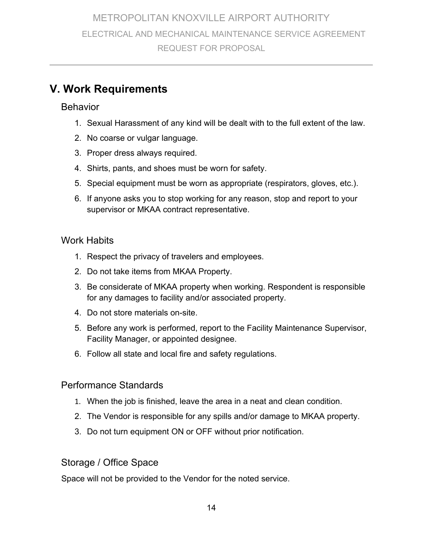# **V. Work Requirements**

#### Behavior

- 1. Sexual Harassment of any kind will be dealt with to the full extent of the law.
- 2. No coarse or vulgar language.
- 3. Proper dress always required.
- 4. Shirts, pants, and shoes must be worn for safety.
- 5. Special equipment must be worn as appropriate (respirators, gloves, etc.).
- 6. If anyone asks you to stop working for any reason, stop and report to your supervisor or MKAA contract representative.

#### Work Habits

- 1. Respect the privacy of travelers and employees.
- 2. Do not take items from MKAA Property.
- 3. Be considerate of MKAA property when working. Respondent is responsible for any damages to facility and/or associated property.
- 4. Do not store materials on-site.
- 5. Before any work is performed, report to the Facility Maintenance Supervisor, Facility Manager, or appointed designee.
- 6. Follow all state and local fire and safety regulations.

### Performance Standards

- 1. When the job is finished, leave the area in a neat and clean condition.
- 2. The Vendor is responsible for any spills and/or damage to MKAA property.
- 3. Do not turn equipment ON or OFF without prior notification.

## Storage / Office Space

Space will not be provided to the Vendor for the noted service.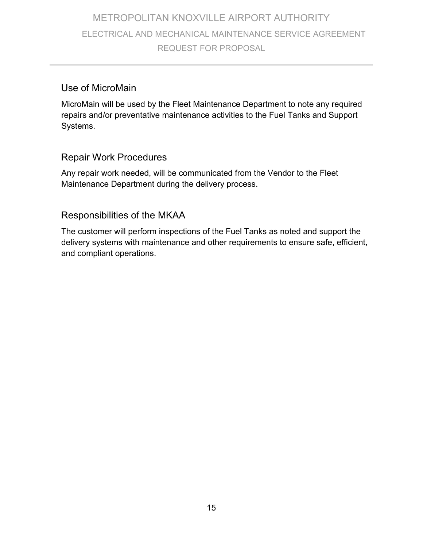#### Use of MicroMain

MicroMain will be used by the Fleet Maintenance Department to note any required repairs and/or preventative maintenance activities to the Fuel Tanks and Support Systems.

#### Repair Work Procedures

Any repair work needed, will be communicated from the Vendor to the Fleet Maintenance Department during the delivery process.

### Responsibilities of the MKAA

The customer will perform inspections of the Fuel Tanks as noted and support the delivery systems with maintenance and other requirements to ensure safe, efficient, and compliant operations.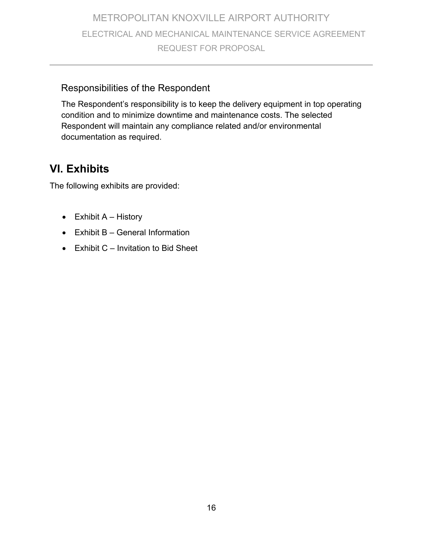#### Responsibilities of the Respondent

The Respondent's responsibility is to keep the delivery equipment in top operating condition and to minimize downtime and maintenance costs. The selected Respondent will maintain any compliance related and/or environmental documentation as required.

# **VI. Exhibits**

The following exhibits are provided:

- $\bullet$  Exhibit A History
- Exhibit B General Information
- $\bullet$  Exhibit C Invitation to Bid Sheet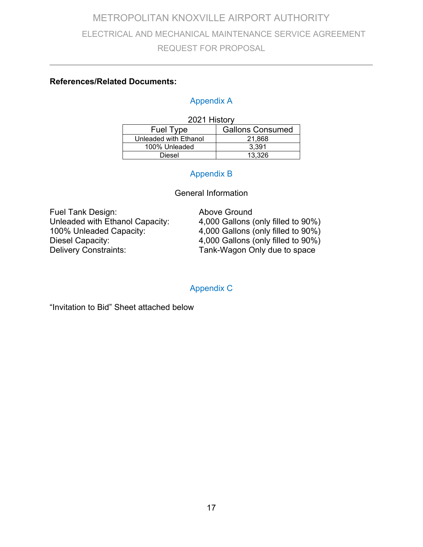#### **References/Related Documents:**

#### Appendix A

| 2021 History          |                         |  |
|-----------------------|-------------------------|--|
| <b>Fuel Type</b>      | <b>Gallons Consumed</b> |  |
| Unleaded with Ethanol | 21.868                  |  |
| 100% Unleaded         | 3.391                   |  |
| Diesel                | 13.326                  |  |

#### Appendix B

#### General Information

Fuel Tank Design: Above Ground<br>Unleaded with Ethanol Capacity: 4,000 Gallons (

Unleaded with Ethanol Capacity: 4,000 Gallons (only filled to 90%)<br>100% Unleaded Capacity: 4,000 Gallons (only filled to 90%) 100% Unleaded Capacity:  $\begin{array}{r} 4,000 \text{ Gallons (only filled to } 90\%) \\ 4,000 \text{ Gallons (only filled to } 90\%) \end{array}$ Diesel Capacity:  $\begin{array}{ccc} 1 & 4,000 & \text{Gallons (only filled to } 90\% ) \\ \text{Deliversity Constraints:} & \text{Tank-Wagon Only due to space} \end{array}$ Tank-Wagon Only due to space

Appendix C

"Invitation to Bid" Sheet attached below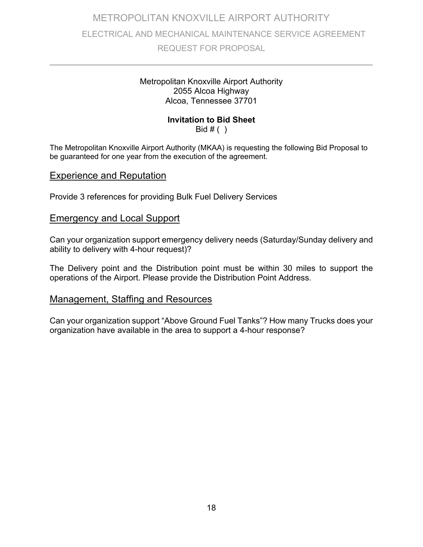#### Metropolitan Knoxville Airport Authority 2055 Alcoa Highway Alcoa, Tennessee 37701

#### **Invitation to Bid Sheet**

Bid  $#( )$ 

The Metropolitan Knoxville Airport Authority (MKAA) is requesting the following Bid Proposal to be guaranteed for one year from the execution of the agreement.

#### Experience and Reputation

Provide 3 references for providing Bulk Fuel Delivery Services

#### Emergency and Local Support

Can your organization support emergency delivery needs (Saturday/Sunday delivery and ability to delivery with 4-hour request)?

The Delivery point and the Distribution point must be within 30 miles to support the operations of the Airport. Please provide the Distribution Point Address.

#### Management, Staffing and Resources

Can your organization support "Above Ground Fuel Tanks"? How many Trucks does your organization have available in the area to support a 4-hour response?